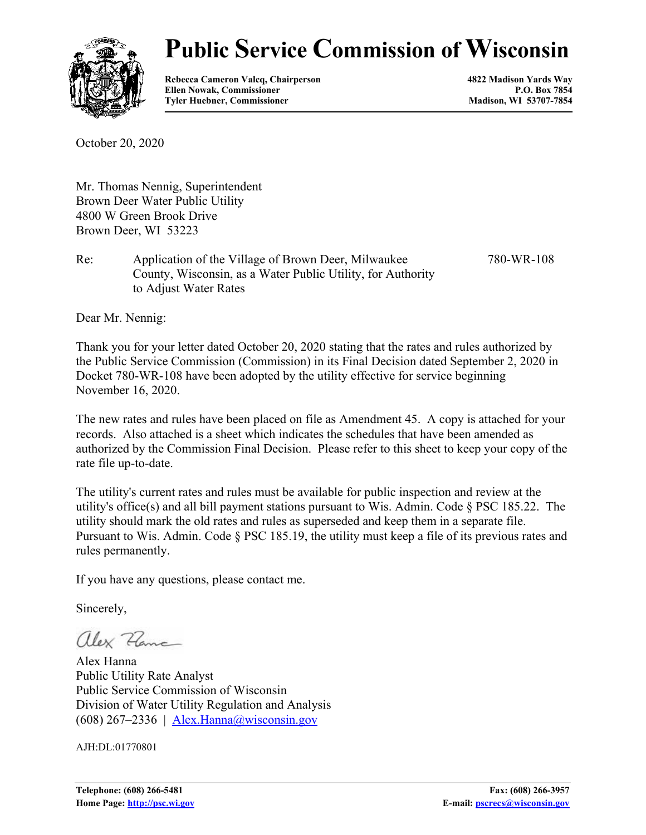

# **Public Service Commission of Wisconsin**

**Rebecca Cameron Valcq, Chairperson 4822 Madison Yards Way** Ellen Nowak, Commissioner **P.O. Box 7854**<br> **P.O. Box 7854**<br> **P.O. Box 7854**<br> **Madison, WI 53707-7854 Tyler Huebner, Commissioner** 

October 20, 2020

Mr. Thomas Nennig, Superintendent Brown Deer Water Public Utility 4800 W Green Brook Drive Brown Deer, WI 53223

Re: Application of the Village of Brown Deer, Milwaukee County, Wisconsin, as a Water Public Utility, for Authority to Adjust Water Rates 780-WR-108

Dear Mr. Nennig:

Thank you for your letter dated October 20, 2020 stating that the rates and rules authorized by the Public Service Commission (Commission) in its Final Decision dated September 2, 2020 in Docket 780-WR-108 have been adopted by the utility effective for service beginning November 16, 2020.

The new rates and rules have been placed on file as Amendment 45. A copy is attached for your records. Also attached is a sheet which indicates the schedules that have been amended as authorized by the Commission Final Decision. Please refer to this sheet to keep your copy of the rate file up-to-date.

The utility's current rates and rules must be available for public inspection and review at the utility's office(s) and all bill payment stations pursuant to Wis. Admin. Code § PSC 185.22. The utility should mark the old rates and rules as superseded and keep them in a separate file. Pursuant to Wis. Admin. Code § PSC 185.19, the utility must keep a file of its previous rates and rules permanently.

If you have any questions, please contact me.

Sincerely,

alex Zama

Alex Hanna Public Utility Rate Analyst Public Service Commission of Wisconsin Division of Water Utility Regulation and Analysis  $(608)$  267–2336 | [Alex.Hanna@wisconsin.gov](mailto:alex.hanna@wisconsin.gov)

AJH:DL:01770801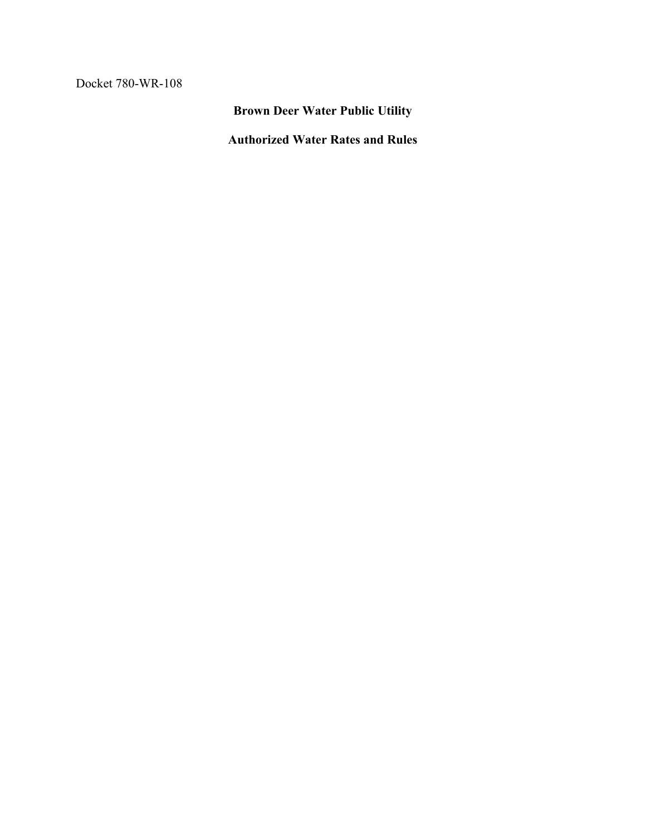Docket 780-WR-108

**Brown Deer Water Public Utility**

**Authorized Water Rates and Rules**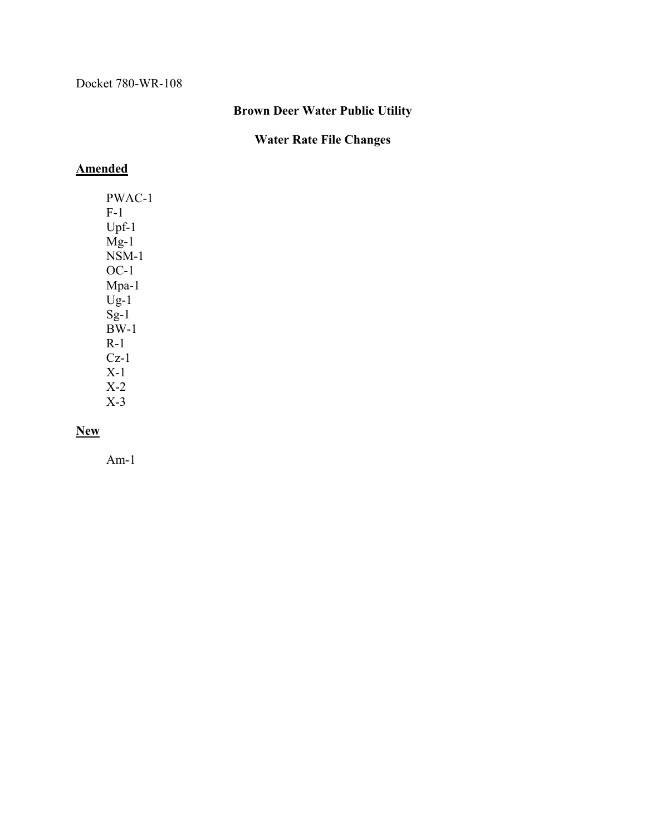#### **Brown Deer Water Public Utility**

### **Water Rate File Changes**

#### **Amended**

PWAC-1 F-1 Upf-1  $Mg-1$  $NSM-1$ OC-1 Mpa-1  $U_{g-1}$  $Sg-1$  $B\check{W}$ -1 R-1  $Cz-1$ X-1 X-2 X-3

### **New**

Am-1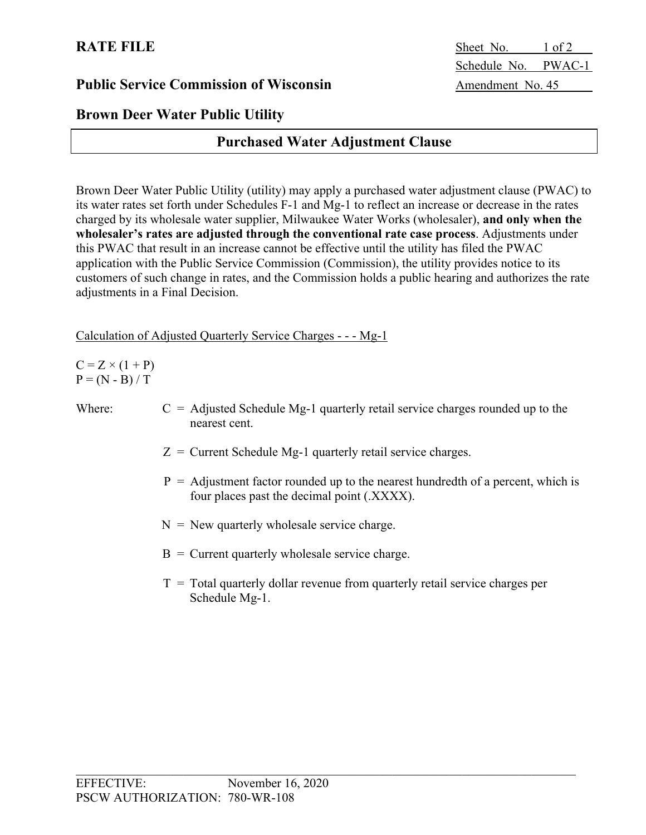# **Brown Deer Water Public Utility**

# **Purchased Water Adjustment Clause**

Brown Deer Water Public Utility (utility) may apply a purchased water adjustment clause (PWAC) to its water rates set forth under Schedules F-1 and Mg-1 to reflect an increase or decrease in the rates charged by its wholesale water supplier, Milwaukee Water Works (wholesaler), **and only when the wholesaler's rates are adjusted through the conventional rate case process**. Adjustments under this PWAC that result in an increase cannot be effective until the utility has filed the PWAC application with the Public Service Commission (Commission), the utility provides notice to its customers of such change in rates, and the Commission holds a public hearing and authorizes the rate adjustments in a Final Decision.

#### Calculation of Adjusted Quarterly Service Charges - - - Mg-1

 $C = Z \times (1 + P)$  $P = (N - B) / T$ 

- Where:  $C = Adjusted Schedule Mg-1 quarterly retail service charges rounded up to the$ nearest cent.
	- $Z =$  Current Schedule Mg-1 quarterly retail service charges.
	- $P =$  Adjustment factor rounded up to the nearest hundredth of a percent, which is four places past the decimal point (.XXXX).
	- $N =$  New quarterly wholesale service charge.
	- $B =$  Current quarterly wholesale service charge.
	- $T =$ Total quarterly dollar revenue from quarterly retail service charges per Schedule Mg-1.

**RATE FILE** Sheet No. 1 of 2 Schedule No. PWAC-1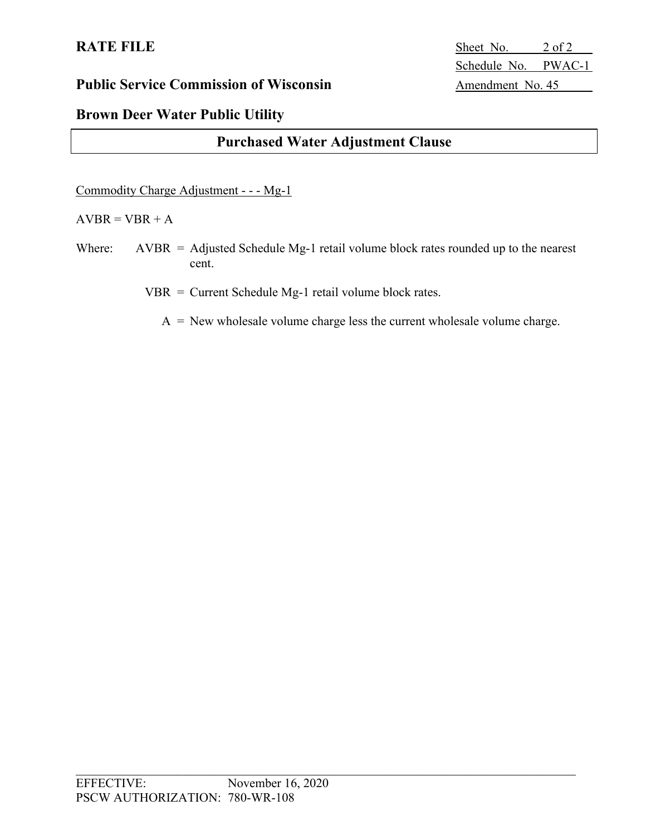# **RATE FILE** Sheet No. 2 of 2 Schedule No. PWAC-1

# **Brown Deer Water Public Utility**

# **Purchased Water Adjustment Clause**

Commodity Charge Adjustment - - - Mg-1

#### $AVBR = VBR + A$

Where:  $AVBR = Adjusted Schedule Mg-1$  retail volume block rates rounded up to the nearest cent.

VBR = Current Schedule Mg-1 retail volume block rates.

 $A =$  New wholesale volume charge less the current wholesale volume charge.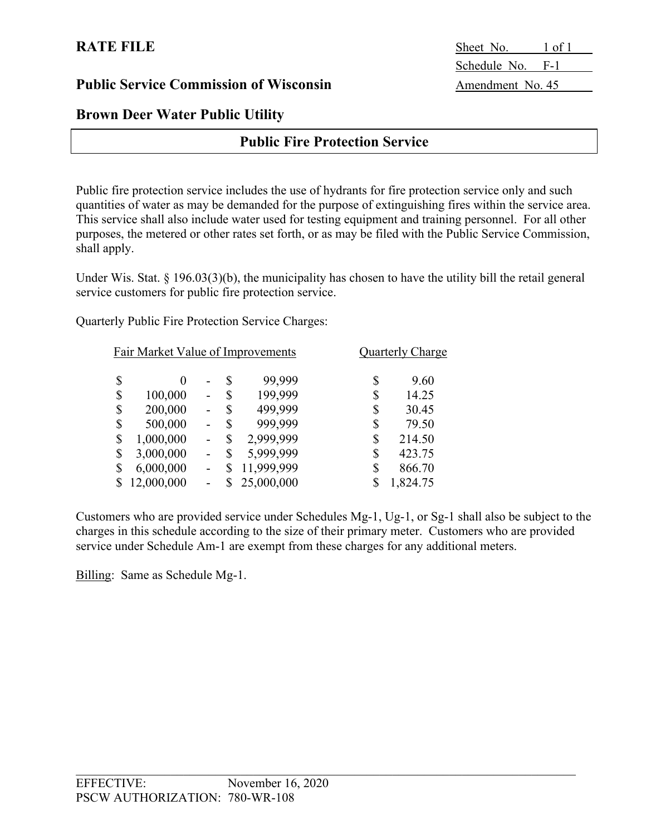### **Brown Deer Water Public Utility**

### **Public Fire Protection Service**

Public fire protection service includes the use of hydrants for fire protection service only and such quantities of water as may be demanded for the purpose of extinguishing fires within the service area. This service shall also include water used for testing equipment and training personnel. For all other purposes, the metered or other rates set forth, or as may be filed with the Public Service Commission, shall apply.

Under Wis. Stat. § 196.03(3)(b), the municipality has chosen to have the utility bill the retail general service customers for public fire protection service.

Quarterly Public Fire Protection Service Charges:

| Fair Market Value of Improvements |            |   | Quarterly Charge |            |                |
|-----------------------------------|------------|---|------------------|------------|----------------|
| \$                                | $\theta$   |   | S                | 99,999     | \$<br>9.60     |
| \$                                | 100,000    |   | \$               | 199,999    | \$<br>14.25    |
| \$                                | 200,000    | - | S                | 499,999    | \$<br>30.45    |
| \$                                | 500,000    |   | \$               | 999,999    | \$<br>79.50    |
| \$                                | 1,000,000  |   | \$               | 2,999,999  | \$<br>214.50   |
| \$                                | 3,000,000  |   | \$               | 5,999,999  | \$<br>423.75   |
| \$                                | 6,000,000  |   | S                | 11,999,999 | \$<br>866.70   |
|                                   | 12,000,000 |   |                  | 25,000,000 | \$<br>1,824.75 |

Customers who are provided service under Schedules Mg-1, Ug-1, or Sg-1 shall also be subject to the charges in this schedule according to the size of their primary meter. Customers who are provided service under Schedule Am-1 are exempt from these charges for any additional meters.

Billing: Same as Schedule Mg-1.

**RATE FILE** Sheet No. 1 of 1 Schedule No. F-1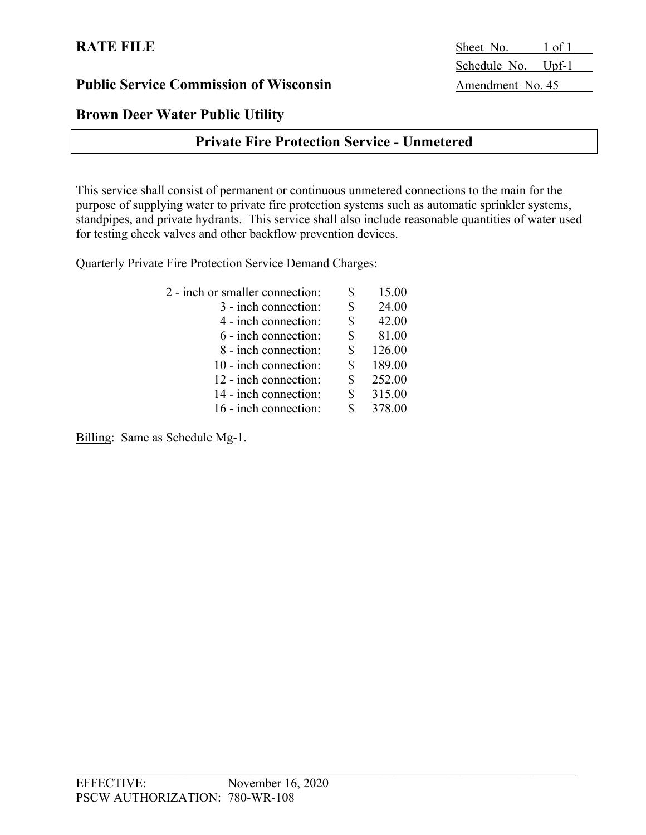# **Brown Deer Water Public Utility**

# **Private Fire Protection Service - Unmetered**

This service shall consist of permanent or continuous unmetered connections to the main for the purpose of supplying water to private fire protection systems such as automatic sprinkler systems, standpipes, and private hydrants. This service shall also include reasonable quantities of water used for testing check valves and other backflow prevention devices.

Quarterly Private Fire Protection Service Demand Charges:

| 2 - inch or smaller connection: | 15.00        |
|---------------------------------|--------------|
| 3 - inch connection:            | \$<br>24.00  |
| 4 - inch connection:            | \$<br>42.00  |
| 6 - inch connection:            | \$<br>81.00  |
| 8 - inch connection:            | \$<br>126.00 |
| 10 - inch connection:           | \$<br>189.00 |
| 12 - inch connection:           | 252.00       |
| 14 - inch connection:           | \$<br>315.00 |
| 16 - inch connection:           | \$<br>378.00 |
|                                 |              |

Billing: Same as Schedule Mg-1.

**RATE FILE** Sheet No. 1 of 1 Schedule No. Upf-1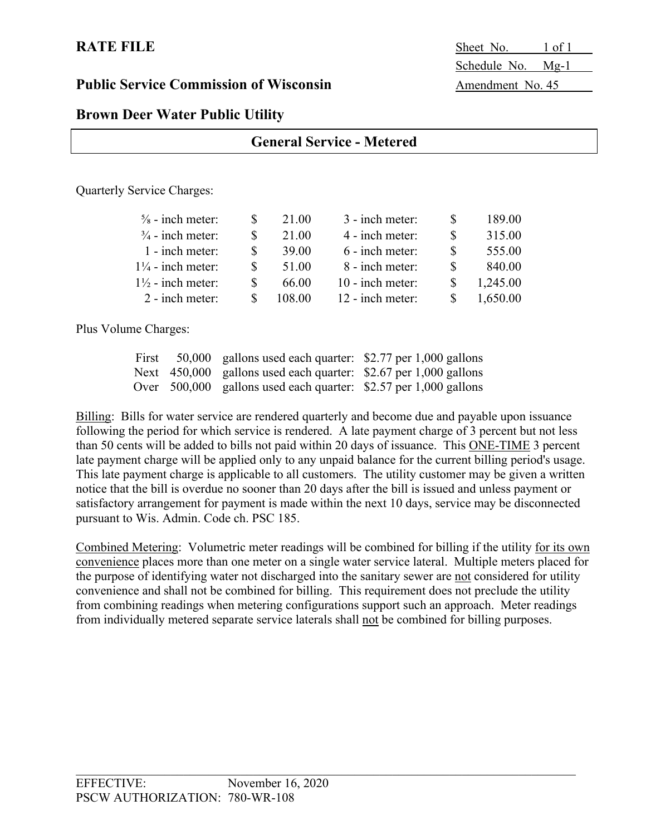**RATE FILE** Sheet No. 1 of 1 Schedule No. Mg-1

### **Brown Deer Water Public Utility**

### **General Service - Metered**

Quarterly Service Charges:

|    | 21.00  | 3 - inch meter:  | 189.00   |
|----|--------|------------------|----------|
|    | 21.00  | 4 - inch meter:  | 315.00   |
|    | 39.00  | 6 - inch meter:  | 555.00   |
|    | 51.00  | 8 - inch meter:  | 840.00   |
|    | 66.00  | 10 - inch meter: | 1,245.00 |
| S. | 108.00 | 12 - inch meter: | 1,650.00 |
|    |        |                  |          |

Plus Volume Charges:

| First | 50,000 gallons used each quarter: $$2.77$ per 1,000 gallons           |  |
|-------|-----------------------------------------------------------------------|--|
|       | Next $\,$ 450,000 gallons used each quarter: \$2.67 per 1,000 gallons |  |
|       | Over $500,000$ gallons used each quarter: \$2.57 per 1,000 gallons    |  |

Billing: Bills for water service are rendered quarterly and become due and payable upon issuance following the period for which service is rendered. A late payment charge of 3 percent but not less than 50 cents will be added to bills not paid within 20 days of issuance. This ONE-TIME 3 percent late payment charge will be applied only to any unpaid balance for the current billing period's usage. This late payment charge is applicable to all customers. The utility customer may be given a written notice that the bill is overdue no sooner than 20 days after the bill is issued and unless payment or satisfactory arrangement for payment is made within the next 10 days, service may be disconnected pursuant to Wis. Admin. Code ch. PSC 185.

Combined Metering: Volumetric meter readings will be combined for billing if the utility for its own convenience places more than one meter on a single water service lateral. Multiple meters placed for the purpose of identifying water not discharged into the sanitary sewer are not considered for utility convenience and shall not be combined for billing. This requirement does not preclude the utility from combining readings when metering configurations support such an approach. Meter readings from individually metered separate service laterals shall not be combined for billing purposes.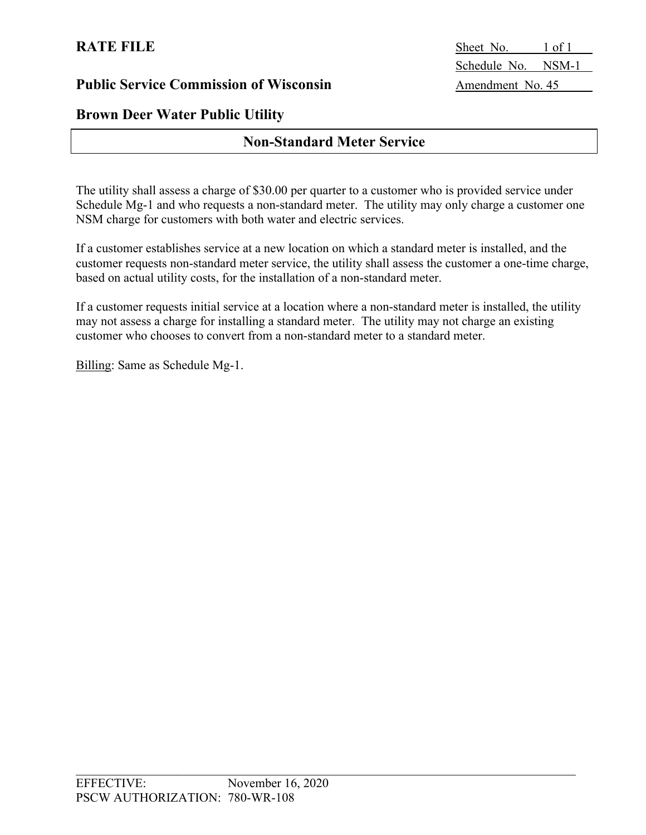# **Brown Deer Water Public Utility**

# **Non-Standard Meter Service**

The utility shall assess a charge of \$30.00 per quarter to a customer who is provided service under Schedule Mg-1 and who requests a non-standard meter. The utility may only charge a customer one NSM charge for customers with both water and electric services.

If a customer establishes service at a new location on which a standard meter is installed, and the customer requests non-standard meter service, the utility shall assess the customer a one-time charge, based on actual utility costs, for the installation of a non-standard meter.

If a customer requests initial service at a location where a non-standard meter is installed, the utility may not assess a charge for installing a standard meter. The utility may not charge an existing customer who chooses to convert from a non-standard meter to a standard meter.

Billing: Same as Schedule Mg-1.

**RATE FILE** Sheet No. 1 of 1 Schedule No. NSM-1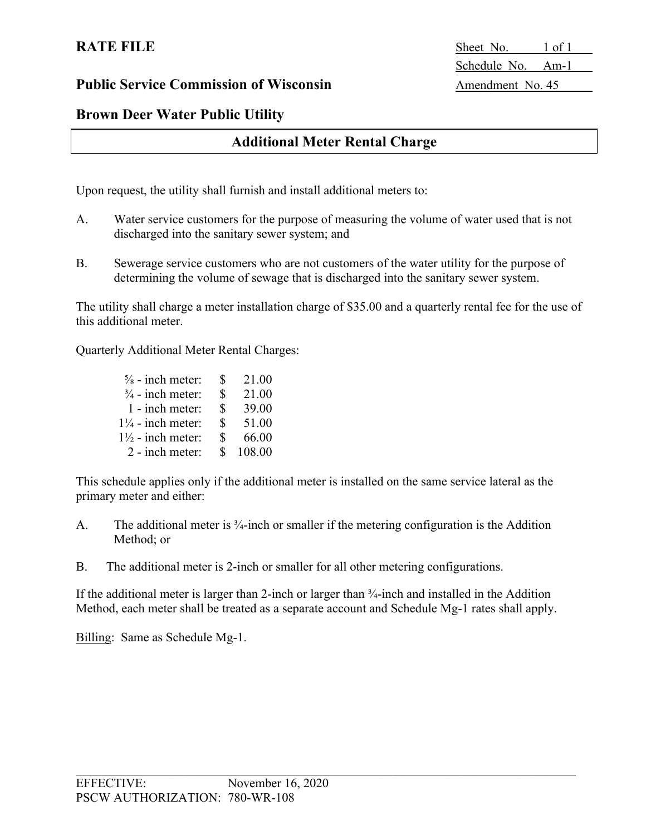**RATE FILE** Sheet No. 1 of 1 Schedule No. Am-1

# **Brown Deer Water Public Utility**

# **Additional Meter Rental Charge**

Upon request, the utility shall furnish and install additional meters to:

- A. Water service customers for the purpose of measuring the volume of water used that is not discharged into the sanitary sewer system; and
- B. Sewerage service customers who are not customers of the water utility for the purpose of determining the volume of sewage that is discharged into the sanitary sewer system.

The utility shall charge a meter installation charge of \$35.00 and a quarterly rental fee for the use of this additional meter.

Quarterly Additional Meter Rental Charges:

| $\frac{5}{8}$ - inch meter:  | S.            | 21.00    |
|------------------------------|---------------|----------|
| $\frac{3}{4}$ - inch meter:  | \$            | 21.00    |
| 1 - inch meter:              | $\mathbf S$   | 39.00    |
| $1\frac{1}{4}$ - inch meter: | $\mathbf{S}$  | 51.00    |
| $1\frac{1}{2}$ - inch meter: | $\mathcal{S}$ | 66.00    |
| 2 - inch meter:              |               | \$108.00 |

This schedule applies only if the additional meter is installed on the same service lateral as the primary meter and either:

- A. The additional meter is <sup>3</sup>/<sub>4</sub>-inch or smaller if the metering configuration is the Addition Method; or
- B. The additional meter is 2-inch or smaller for all other metering configurations.

If the additional meter is larger than 2-inch or larger than  $\frac{3}{4}$ -inch and installed in the Addition Method, each meter shall be treated as a separate account and Schedule Mg-1 rates shall apply.

Billing: Same as Schedule Mg-1.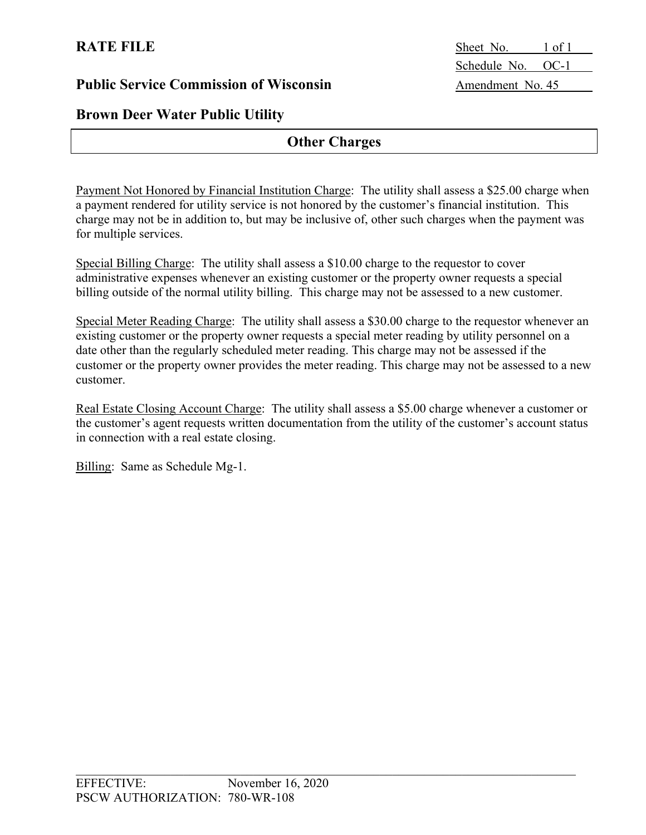# **Brown Deer Water Public Utility**

# **Other Charges**

Payment Not Honored by Financial Institution Charge: The utility shall assess a \$25.00 charge when a payment rendered for utility service is not honored by the customer's financial institution. This charge may not be in addition to, but may be inclusive of, other such charges when the payment was for multiple services.

Special Billing Charge: The utility shall assess a \$10.00 charge to the requestor to cover administrative expenses whenever an existing customer or the property owner requests a special billing outside of the normal utility billing. This charge may not be assessed to a new customer.

Special Meter Reading Charge: The utility shall assess a \$30.00 charge to the requestor whenever an existing customer or the property owner requests a special meter reading by utility personnel on a date other than the regularly scheduled meter reading. This charge may not be assessed if the customer or the property owner provides the meter reading. This charge may not be assessed to a new customer.

Real Estate Closing Account Charge: The utility shall assess a \$5.00 charge whenever a customer or the customer's agent requests written documentation from the utility of the customer's account status in connection with a real estate closing.

Billing: Same as Schedule Mg-1.

**RATE FILE** Sheet No. 1 of 1 Schedule No. OC-1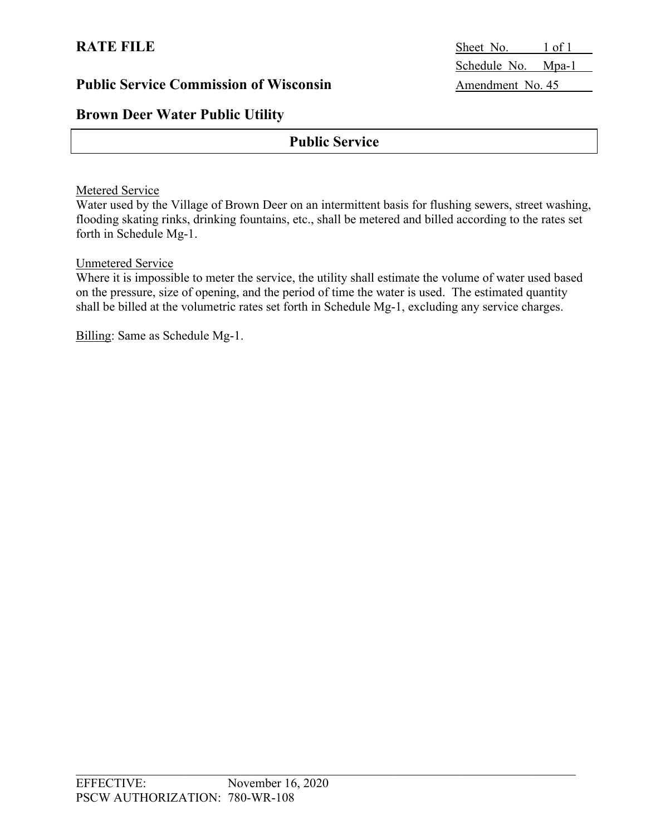# **Brown Deer Water Public Utility**

# **Public Service**

#### Metered Service

Water used by the Village of Brown Deer on an intermittent basis for flushing sewers, street washing, flooding skating rinks, drinking fountains, etc., shall be metered and billed according to the rates set forth in Schedule Mg-1.

#### Unmetered Service

Where it is impossible to meter the service, the utility shall estimate the volume of water used based on the pressure, size of opening, and the period of time the water is used. The estimated quantity shall be billed at the volumetric rates set forth in Schedule Mg-1, excluding any service charges.

Billing: Same as Schedule Mg-1.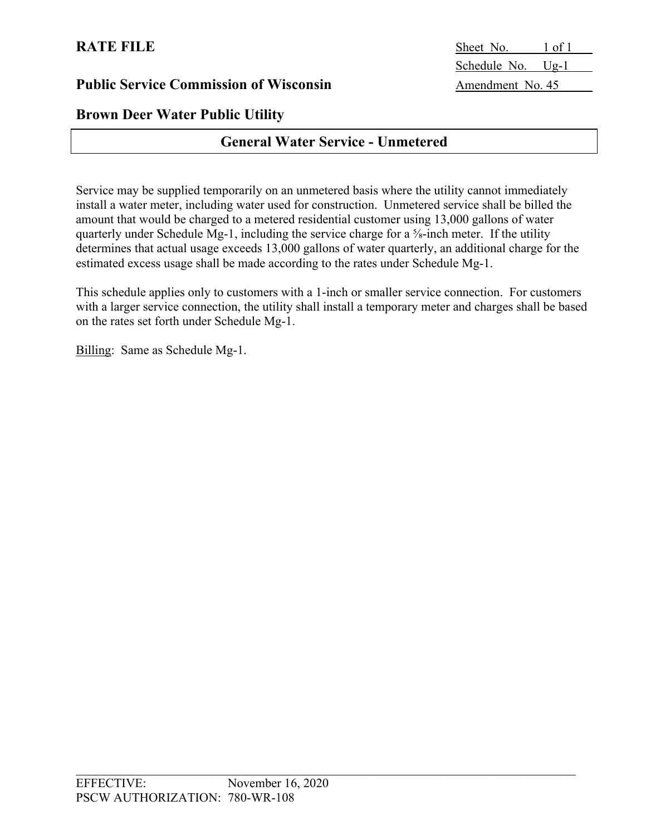# **Brown Deer Water Public Utility**

# **General Water Service - Unmetered**

Service may be supplied temporarily on an unmetered basis where the utility cannot immediately install a water meter, including water used for construction. Unmetered service shall be billed the amount that would be charged to a metered residential customer using 13,000 gallons of water quarterly under Schedule Mg-1, including the service charge for a ⅝-inch meter. If the utility determines that actual usage exceeds 13,000 gallons of water quarterly, an additional charge for the estimated excess usage shall be made according to the rates under Schedule Mg-1.

This schedule applies only to customers with a 1-inch or smaller service connection. For customers with a larger service connection, the utility shall install a temporary meter and charges shall be based on the rates set forth under Schedule Mg-1.

Billing: Same as Schedule Mg-1.

**RATE FILE** Sheet No. 1 of 1 Schedule No. Ug-1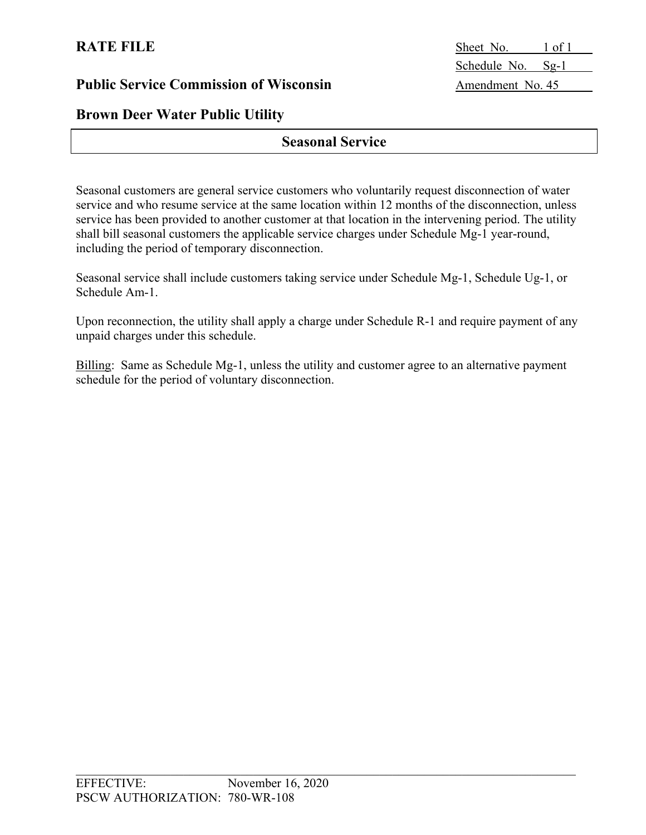# **Brown Deer Water Public Utility**

# **Seasonal Service**

Seasonal customers are general service customers who voluntarily request disconnection of water service and who resume service at the same location within 12 months of the disconnection, unless service has been provided to another customer at that location in the intervening period. The utility shall bill seasonal customers the applicable service charges under Schedule Mg-1 year-round, including the period of temporary disconnection.

Seasonal service shall include customers taking service under Schedule Mg-1, Schedule Ug-1, or Schedule Am-1.

Upon reconnection, the utility shall apply a charge under Schedule R-1 and require payment of any unpaid charges under this schedule.

Billing: Same as Schedule Mg-1, unless the utility and customer agree to an alternative payment schedule for the period of voluntary disconnection.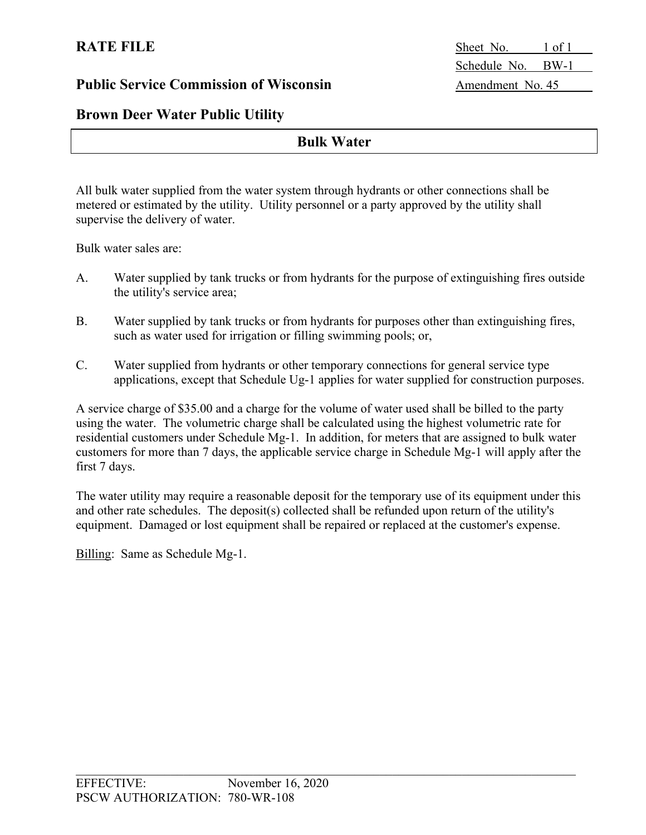**RATE FILE** Sheet No. 1 of 1 Schedule No. BW-1

### **Brown Deer Water Public Utility**

### **Bulk Water**

All bulk water supplied from the water system through hydrants or other connections shall be metered or estimated by the utility. Utility personnel or a party approved by the utility shall supervise the delivery of water.

Bulk water sales are:

- A. Water supplied by tank trucks or from hydrants for the purpose of extinguishing fires outside the utility's service area;
- B. Water supplied by tank trucks or from hydrants for purposes other than extinguishing fires, such as water used for irrigation or filling swimming pools; or,
- C. Water supplied from hydrants or other temporary connections for general service type applications, except that Schedule Ug-1 applies for water supplied for construction purposes.

A service charge of \$35.00 and a charge for the volume of water used shall be billed to the party using the water. The volumetric charge shall be calculated using the highest volumetric rate for residential customers under Schedule Mg-1. In addition, for meters that are assigned to bulk water customers for more than 7 days, the applicable service charge in Schedule Mg-1 will apply after the first 7 days.

The water utility may require a reasonable deposit for the temporary use of its equipment under this and other rate schedules. The deposit(s) collected shall be refunded upon return of the utility's equipment. Damaged or lost equipment shall be repaired or replaced at the customer's expense.

Billing: Same as Schedule Mg-1.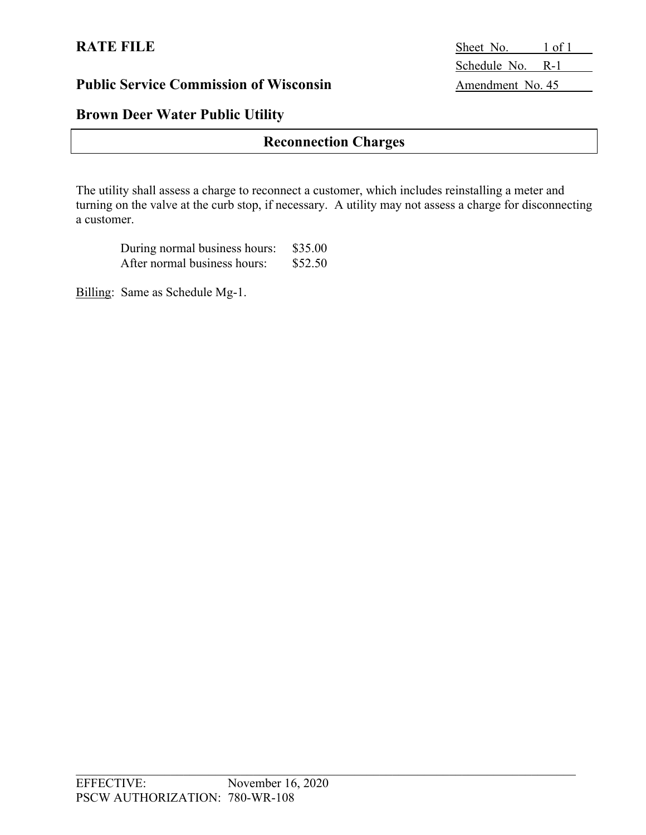# **Brown Deer Water Public Utility**

# **Reconnection Charges**

The utility shall assess a charge to reconnect a customer, which includes reinstalling a meter and turning on the valve at the curb stop, if necessary. A utility may not assess a charge for disconnecting a customer.

| During normal business hours: | \$35.00 |
|-------------------------------|---------|
| After normal business hours:  | \$52.50 |

Billing: Same as Schedule Mg-1.

**RATE FILE** Sheet No. 1 of 1 Schedule No. R-1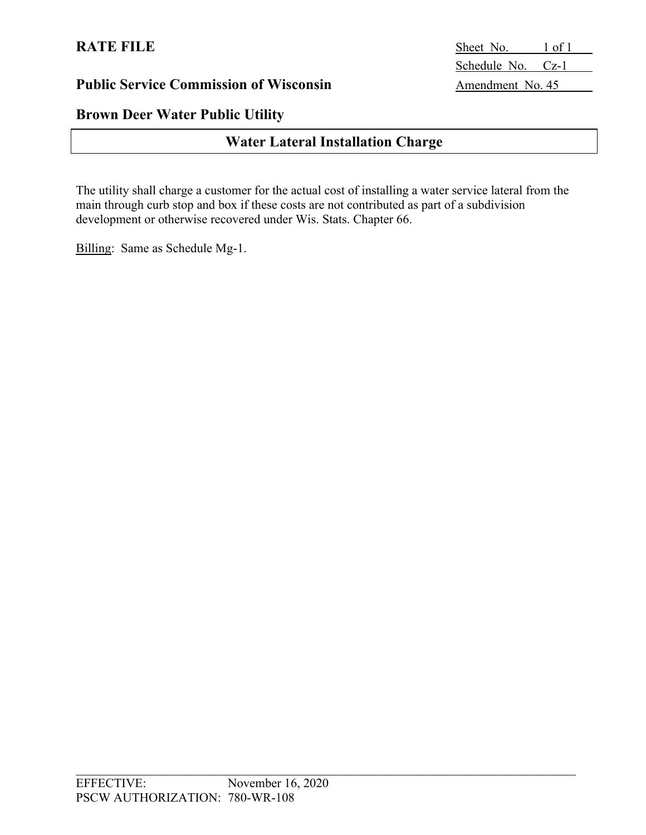# **Brown Deer Water Public Utility**

# **Water Lateral Installation Charge**

The utility shall charge a customer for the actual cost of installing a water service lateral from the main through curb stop and box if these costs are not contributed as part of a subdivision development or otherwise recovered under Wis. Stats. Chapter 66.

Billing: Same as Schedule Mg-1.

**RATE FILE** Sheet No. 1 of 1 Schedule No. Cz-1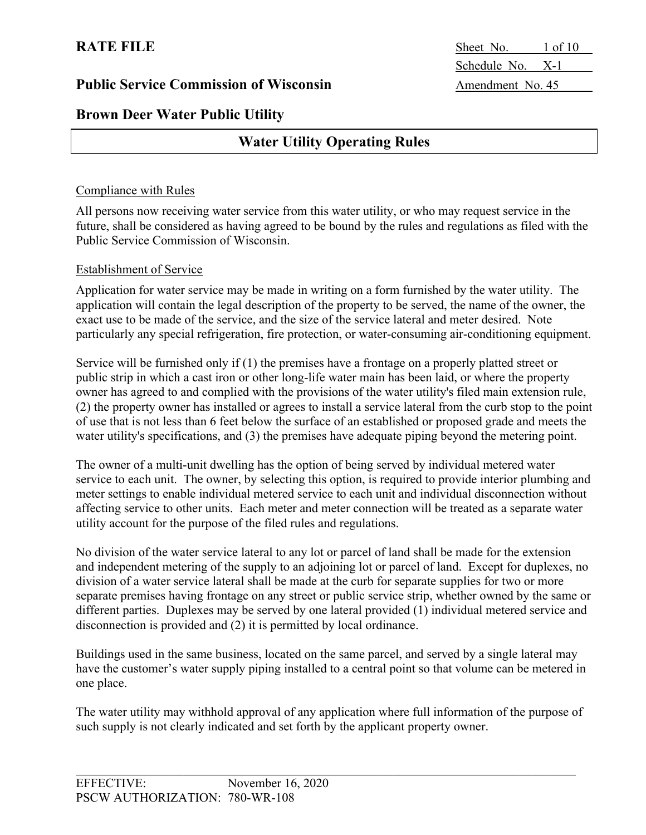# **Brown Deer Water Public Utility**

# **Water Utility Operating Rules**

#### Compliance with Rules

All persons now receiving water service from this water utility, or who may request service in the future, shall be considered as having agreed to be bound by the rules and regulations as filed with the Public Service Commission of Wisconsin.

#### Establishment of Service

Application for water service may be made in writing on a form furnished by the water utility. The application will contain the legal description of the property to be served, the name of the owner, the exact use to be made of the service, and the size of the service lateral and meter desired. Note particularly any special refrigeration, fire protection, or water-consuming air-conditioning equipment.

Service will be furnished only if (1) the premises have a frontage on a properly platted street or public strip in which a cast iron or other long-life water main has been laid, or where the property owner has agreed to and complied with the provisions of the water utility's filed main extension rule, (2) the property owner has installed or agrees to install a service lateral from the curb stop to the point of use that is not less than 6 feet below the surface of an established or proposed grade and meets the water utility's specifications, and (3) the premises have adequate piping beyond the metering point.

The owner of a multi-unit dwelling has the option of being served by individual metered water service to each unit. The owner, by selecting this option, is required to provide interior plumbing and meter settings to enable individual metered service to each unit and individual disconnection without affecting service to other units. Each meter and meter connection will be treated as a separate water utility account for the purpose of the filed rules and regulations.

No division of the water service lateral to any lot or parcel of land shall be made for the extension and independent metering of the supply to an adjoining lot or parcel of land. Except for duplexes, no division of a water service lateral shall be made at the curb for separate supplies for two or more separate premises having frontage on any street or public service strip, whether owned by the same or different parties. Duplexes may be served by one lateral provided (1) individual metered service and disconnection is provided and (2) it is permitted by local ordinance.

Buildings used in the same business, located on the same parcel, and served by a single lateral may have the customer's water supply piping installed to a central point so that volume can be metered in one place.

The water utility may withhold approval of any application where full information of the purpose of such supply is not clearly indicated and set forth by the applicant property owner.

**RATE FILE** Sheet No. 1 of 10 Schedule No. X-1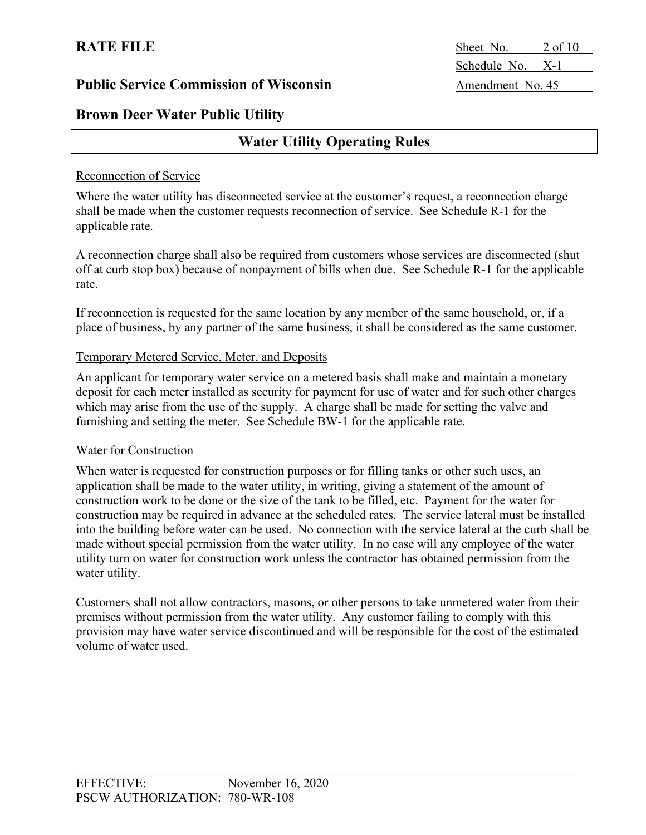# **Brown Deer Water Public Utility**

# **Water Utility Operating Rules**

#### Reconnection of Service

Where the water utility has disconnected service at the customer's request, a reconnection charge shall be made when the customer requests reconnection of service. See Schedule R-1 for the applicable rate.

A reconnection charge shall also be required from customers whose services are disconnected (shut off at curb stop box) because of nonpayment of bills when due. See Schedule R-1 for the applicable rate.

If reconnection is requested for the same location by any member of the same household, or, if a place of business, by any partner of the same business, it shall be considered as the same customer.

#### Temporary Metered Service, Meter, and Deposits

An applicant for temporary water service on a metered basis shall make and maintain a monetary deposit for each meter installed as security for payment for use of water and for such other charges which may arise from the use of the supply. A charge shall be made for setting the valve and furnishing and setting the meter. See Schedule BW-1 for the applicable rate.

#### Water for Construction

When water is requested for construction purposes or for filling tanks or other such uses, an application shall be made to the water utility, in writing, giving a statement of the amount of construction work to be done or the size of the tank to be filled, etc. Payment for the water for construction may be required in advance at the scheduled rates. The service lateral must be installed into the building before water can be used. No connection with the service lateral at the curb shall be made without special permission from the water utility. In no case will any employee of the water utility turn on water for construction work unless the contractor has obtained permission from the water utility.

Customers shall not allow contractors, masons, or other persons to take unmetered water from their premises without permission from the water utility. Any customer failing to comply with this provision may have water service discontinued and will be responsible for the cost of the estimated volume of water used.

**RATE FILE** Sheet No. 2 of 10 Schedule No. X-1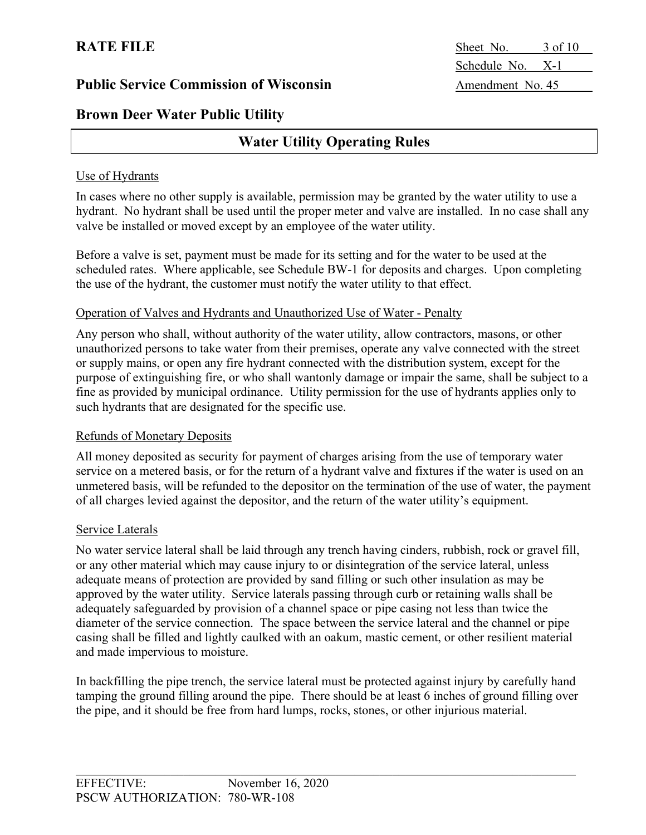# **Brown Deer Water Public Utility**

# **Water Utility Operating Rules**

#### Use of Hydrants

In cases where no other supply is available, permission may be granted by the water utility to use a hydrant. No hydrant shall be used until the proper meter and valve are installed. In no case shall any valve be installed or moved except by an employee of the water utility.

Before a valve is set, payment must be made for its setting and for the water to be used at the scheduled rates. Where applicable, see Schedule BW-1 for deposits and charges. Upon completing the use of the hydrant, the customer must notify the water utility to that effect.

#### Operation of Valves and Hydrants and Unauthorized Use of Water - Penalty

Any person who shall, without authority of the water utility, allow contractors, masons, or other unauthorized persons to take water from their premises, operate any valve connected with the street or supply mains, or open any fire hydrant connected with the distribution system, except for the purpose of extinguishing fire, or who shall wantonly damage or impair the same, shall be subject to a fine as provided by municipal ordinance. Utility permission for the use of hydrants applies only to such hydrants that are designated for the specific use.

#### Refunds of Monetary Deposits

All money deposited as security for payment of charges arising from the use of temporary water service on a metered basis, or for the return of a hydrant valve and fixtures if the water is used on an unmetered basis, will be refunded to the depositor on the termination of the use of water, the payment of all charges levied against the depositor, and the return of the water utility's equipment.

#### Service Laterals

No water service lateral shall be laid through any trench having cinders, rubbish, rock or gravel fill, or any other material which may cause injury to or disintegration of the service lateral, unless adequate means of protection are provided by sand filling or such other insulation as may be approved by the water utility. Service laterals passing through curb or retaining walls shall be adequately safeguarded by provision of a channel space or pipe casing not less than twice the diameter of the service connection. The space between the service lateral and the channel or pipe casing shall be filled and lightly caulked with an oakum, mastic cement, or other resilient material and made impervious to moisture.

In backfilling the pipe trench, the service lateral must be protected against injury by carefully hand tamping the ground filling around the pipe. There should be at least 6 inches of ground filling over the pipe, and it should be free from hard lumps, rocks, stones, or other injurious material.

**RATE FILE** Sheet No. 3 of 10 Schedule No. X-1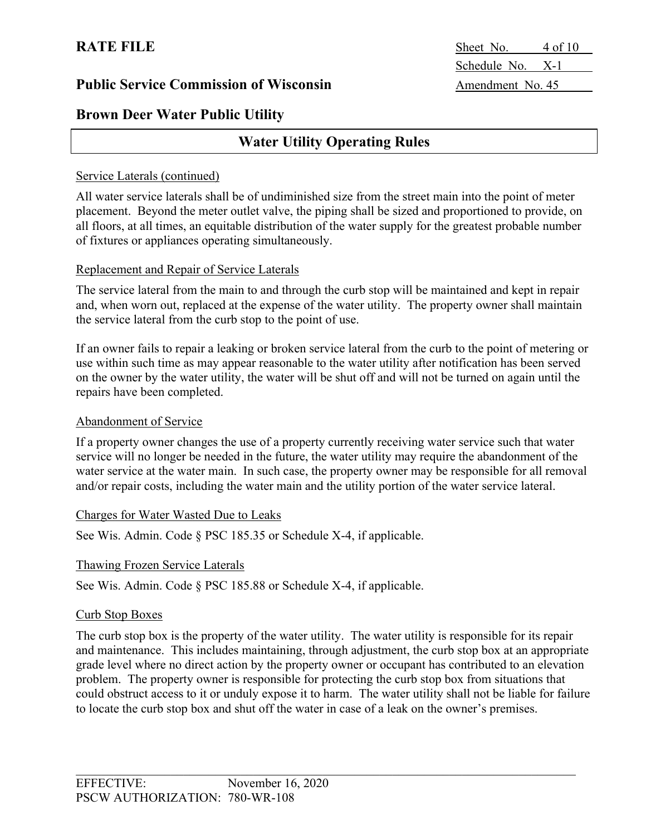# **Brown Deer Water Public Utility**

# **Water Utility Operating Rules**

#### Service Laterals (continued)

All water service laterals shall be of undiminished size from the street main into the point of meter placement. Beyond the meter outlet valve, the piping shall be sized and proportioned to provide, on all floors, at all times, an equitable distribution of the water supply for the greatest probable number of fixtures or appliances operating simultaneously.

#### Replacement and Repair of Service Laterals

The service lateral from the main to and through the curb stop will be maintained and kept in repair and, when worn out, replaced at the expense of the water utility. The property owner shall maintain the service lateral from the curb stop to the point of use.

If an owner fails to repair a leaking or broken service lateral from the curb to the point of metering or use within such time as may appear reasonable to the water utility after notification has been served on the owner by the water utility, the water will be shut off and will not be turned on again until the repairs have been completed.

#### Abandonment of Service

If a property owner changes the use of a property currently receiving water service such that water service will no longer be needed in the future, the water utility may require the abandonment of the water service at the water main. In such case, the property owner may be responsible for all removal and/or repair costs, including the water main and the utility portion of the water service lateral.

#### Charges for Water Wasted Due to Leaks

See Wis. Admin. Code § PSC 185.35 or Schedule X-4, if applicable.

#### Thawing Frozen Service Laterals

See Wis. Admin. Code § PSC 185.88 or Schedule X-4, if applicable.

#### Curb Stop Boxes

The curb stop box is the property of the water utility. The water utility is responsible for its repair and maintenance. This includes maintaining, through adjustment, the curb stop box at an appropriate grade level where no direct action by the property owner or occupant has contributed to an elevation problem. The property owner is responsible for protecting the curb stop box from situations that could obstruct access to it or unduly expose it to harm. The water utility shall not be liable for failure to locate the curb stop box and shut off the water in case of a leak on the owner's premises.

**RATE FILE** Sheet No. 4 of 10 Schedule No. X-1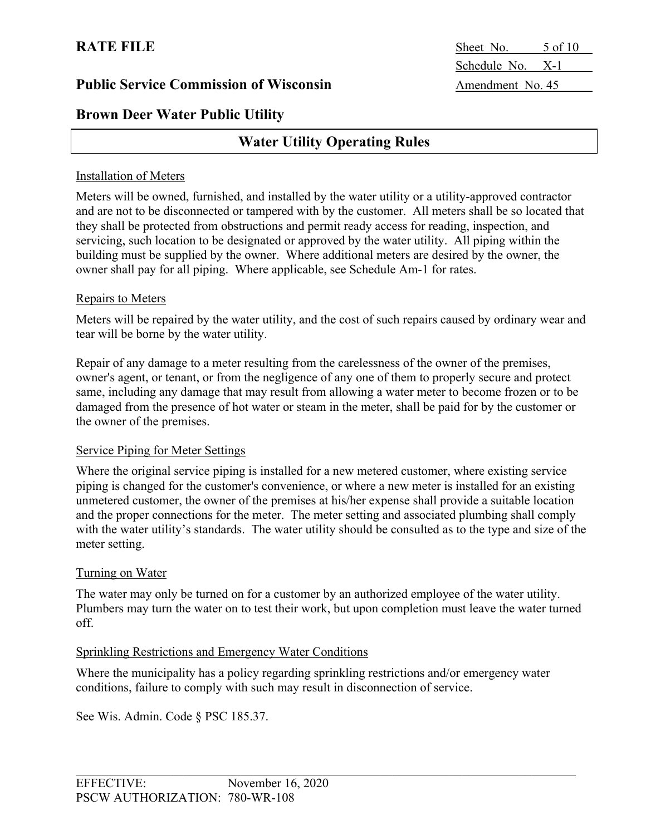**Brown Deer Water Public Utility**

# **Water Utility Operating Rules**

#### Installation of Meters

Meters will be owned, furnished, and installed by the water utility or a utility-approved contractor and are not to be disconnected or tampered with by the customer. All meters shall be so located that they shall be protected from obstructions and permit ready access for reading, inspection, and servicing, such location to be designated or approved by the water utility. All piping within the building must be supplied by the owner. Where additional meters are desired by the owner, the owner shall pay for all piping. Where applicable, see Schedule Am-1 for rates.

#### Repairs to Meters

Meters will be repaired by the water utility, and the cost of such repairs caused by ordinary wear and tear will be borne by the water utility.

Repair of any damage to a meter resulting from the carelessness of the owner of the premises, owner's agent, or tenant, or from the negligence of any one of them to properly secure and protect same, including any damage that may result from allowing a water meter to become frozen or to be damaged from the presence of hot water or steam in the meter, shall be paid for by the customer or the owner of the premises.

#### Service Piping for Meter Settings

Where the original service piping is installed for a new metered customer, where existing service piping is changed for the customer's convenience, or where a new meter is installed for an existing unmetered customer, the owner of the premises at his/her expense shall provide a suitable location and the proper connections for the meter. The meter setting and associated plumbing shall comply with the water utility's standards. The water utility should be consulted as to the type and size of the meter setting.

#### Turning on Water

The water may only be turned on for a customer by an authorized employee of the water utility. Plumbers may turn the water on to test their work, but upon completion must leave the water turned off.

#### Sprinkling Restrictions and Emergency Water Conditions

Where the municipality has a policy regarding sprinkling restrictions and/or emergency water conditions, failure to comply with such may result in disconnection of service.

See Wis. Admin. Code § PSC 185.37.

**RATE FILE** Sheet No. 5 of 10 Schedule No. X-1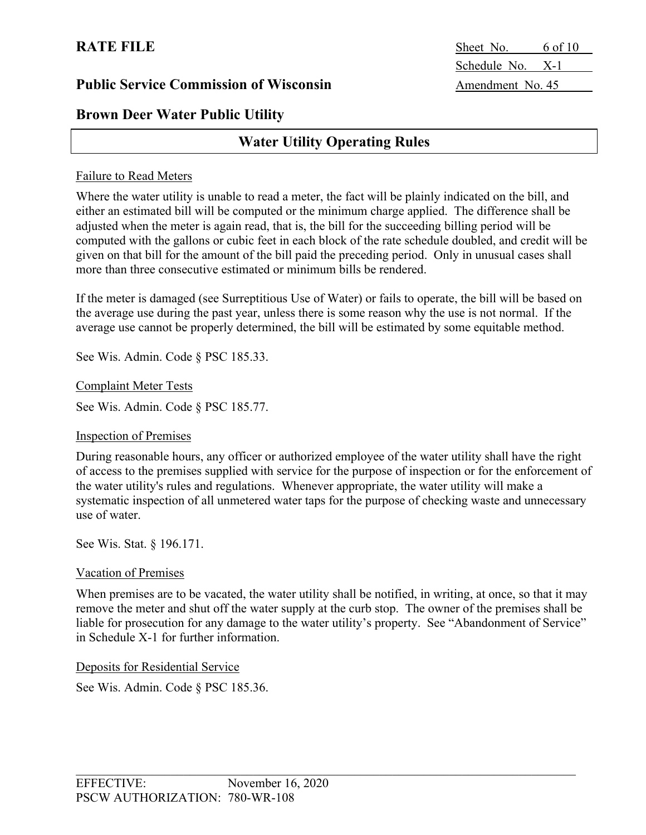# **Brown Deer Water Public Utility**

# **Water Utility Operating Rules**

#### Failure to Read Meters

Where the water utility is unable to read a meter, the fact will be plainly indicated on the bill, and either an estimated bill will be computed or the minimum charge applied. The difference shall be adjusted when the meter is again read, that is, the bill for the succeeding billing period will be computed with the gallons or cubic feet in each block of the rate schedule doubled, and credit will be given on that bill for the amount of the bill paid the preceding period. Only in unusual cases shall more than three consecutive estimated or minimum bills be rendered.

If the meter is damaged (see Surreptitious Use of Water) or fails to operate, the bill will be based on the average use during the past year, unless there is some reason why the use is not normal. If the average use cannot be properly determined, the bill will be estimated by some equitable method.

See Wis. Admin. Code § PSC 185.33.

Complaint Meter Tests

See Wis. Admin. Code § PSC 185.77.

#### Inspection of Premises

During reasonable hours, any officer or authorized employee of the water utility shall have the right of access to the premises supplied with service for the purpose of inspection or for the enforcement of the water utility's rules and regulations. Whenever appropriate, the water utility will make a systematic inspection of all unmetered water taps for the purpose of checking waste and unnecessary use of water.

See Wis. Stat. § 196.171.

#### Vacation of Premises

When premises are to be vacated, the water utility shall be notified, in writing, at once, so that it may remove the meter and shut off the water supply at the curb stop. The owner of the premises shall be liable for prosecution for any damage to the water utility's property. See "Abandonment of Service" in Schedule X-1 for further information.

#### Deposits for Residential Service

See Wis. Admin. Code § PSC 185.36.

**RATE FILE** Sheet No. 6 of 10 Schedule No. X-1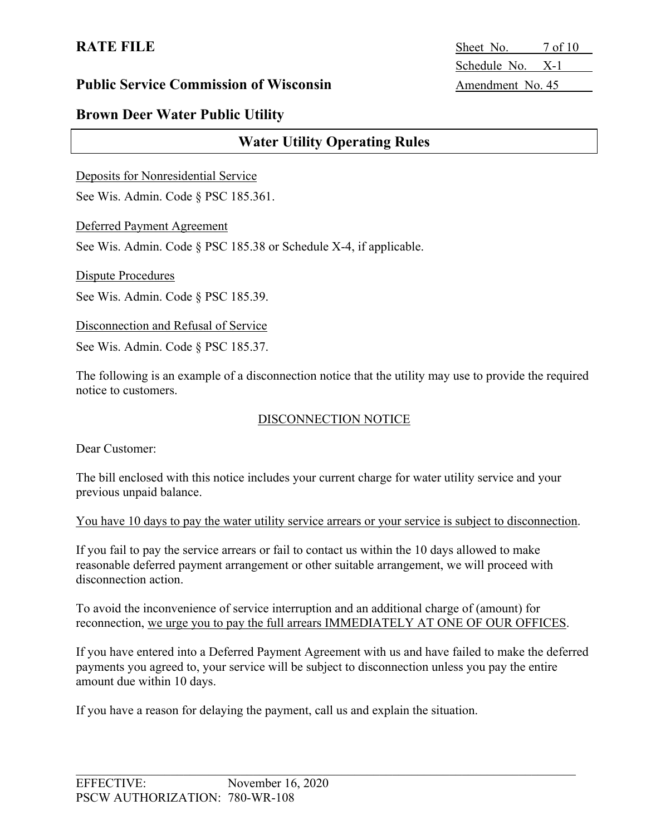**RATE FILE** Sheet No. 7 of 10 Schedule No. X-1

#### **Public Service Commission of Wisconsin** Amendment No. 45

# **Brown Deer Water Public Utility**

# **Water Utility Operating Rules**

Deposits for Nonresidential Service

See Wis. Admin. Code § PSC 185.361.

Deferred Payment Agreement

See Wis. Admin. Code § PSC 185.38 or Schedule X-4, if applicable.

Dispute Procedures

See Wis. Admin. Code § PSC 185.39.

Disconnection and Refusal of Service

See Wis. Admin. Code § PSC 185.37.

The following is an example of a disconnection notice that the utility may use to provide the required notice to customers.

#### DISCONNECTION NOTICE

Dear Customer:

The bill enclosed with this notice includes your current charge for water utility service and your previous unpaid balance.

You have 10 days to pay the water utility service arrears or your service is subject to disconnection.

If you fail to pay the service arrears or fail to contact us within the 10 days allowed to make reasonable deferred payment arrangement or other suitable arrangement, we will proceed with disconnection action.

To avoid the inconvenience of service interruption and an additional charge of (amount) for reconnection, we urge you to pay the full arrears IMMEDIATELY AT ONE OF OUR OFFICES.

If you have entered into a Deferred Payment Agreement with us and have failed to make the deferred payments you agreed to, your service will be subject to disconnection unless you pay the entire amount due within 10 days.

If you have a reason for delaying the payment, call us and explain the situation.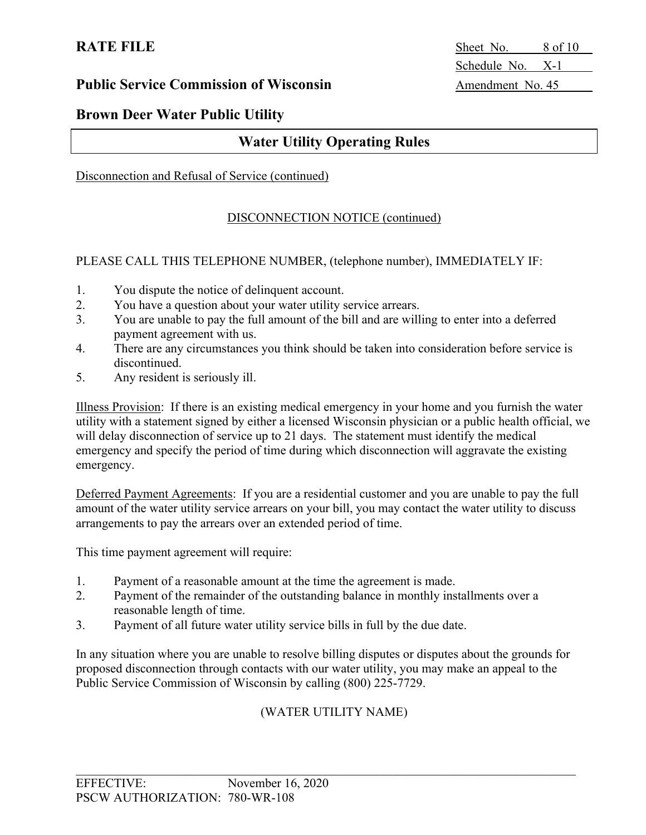**RATE FILE** Sheet No. 8 of 10 Schedule No. X-1

### **Brown Deer Water Public Utility**

# **Water Utility Operating Rules**

#### Disconnection and Refusal of Service (continued)

#### DISCONNECTION NOTICE (continued)

#### PLEASE CALL THIS TELEPHONE NUMBER, (telephone number), IMMEDIATELY IF:

- 1. You dispute the notice of delinquent account.
- 2. You have a question about your water utility service arrears.
- 3. You are unable to pay the full amount of the bill and are willing to enter into a deferred payment agreement with us.
- 4. There are any circumstances you think should be taken into consideration before service is discontinued.
- 5. Any resident is seriously ill.

Illness Provision: If there is an existing medical emergency in your home and you furnish the water utility with a statement signed by either a licensed Wisconsin physician or a public health official, we will delay disconnection of service up to 21 days. The statement must identify the medical emergency and specify the period of time during which disconnection will aggravate the existing emergency.

Deferred Payment Agreements: If you are a residential customer and you are unable to pay the full amount of the water utility service arrears on your bill, you may contact the water utility to discuss arrangements to pay the arrears over an extended period of time.

This time payment agreement will require:

- 1. Payment of a reasonable amount at the time the agreement is made.
- 2. Payment of the remainder of the outstanding balance in monthly installments over a reasonable length of time.
- 3. Payment of all future water utility service bills in full by the due date.

In any situation where you are unable to resolve billing disputes or disputes about the grounds for proposed disconnection through contacts with our water utility, you may make an appeal to the Public Service Commission of Wisconsin by calling (800) 225-7729.

#### (WATER UTILITY NAME)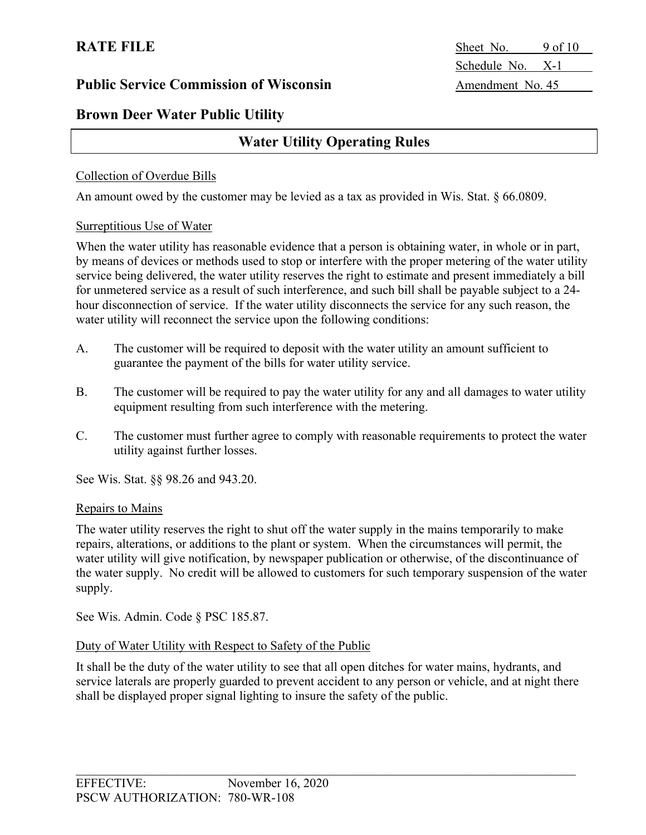**RATE FILE** Sheet No. 9 of 10 Schedule No. X-1

### **Brown Deer Water Public Utility**

# **Water Utility Operating Rules**

#### Collection of Overdue Bills

An amount owed by the customer may be levied as a tax as provided in Wis. Stat. § 66.0809.

#### Surreptitious Use of Water

When the water utility has reasonable evidence that a person is obtaining water, in whole or in part, by means of devices or methods used to stop or interfere with the proper metering of the water utility service being delivered, the water utility reserves the right to estimate and present immediately a bill for unmetered service as a result of such interference, and such bill shall be payable subject to a 24 hour disconnection of service. If the water utility disconnects the service for any such reason, the water utility will reconnect the service upon the following conditions:

- A. The customer will be required to deposit with the water utility an amount sufficient to guarantee the payment of the bills for water utility service.
- B. The customer will be required to pay the water utility for any and all damages to water utility equipment resulting from such interference with the metering.
- C. The customer must further agree to comply with reasonable requirements to protect the water utility against further losses.

See Wis. Stat. §§ 98.26 and 943.20.

#### Repairs to Mains

The water utility reserves the right to shut off the water supply in the mains temporarily to make repairs, alterations, or additions to the plant or system. When the circumstances will permit, the water utility will give notification, by newspaper publication or otherwise, of the discontinuance of the water supply. No credit will be allowed to customers for such temporary suspension of the water supply.

See Wis. Admin. Code § PSC 185.87.

#### Duty of Water Utility with Respect to Safety of the Public

It shall be the duty of the water utility to see that all open ditches for water mains, hydrants, and service laterals are properly guarded to prevent accident to any person or vehicle, and at night there shall be displayed proper signal lighting to insure the safety of the public.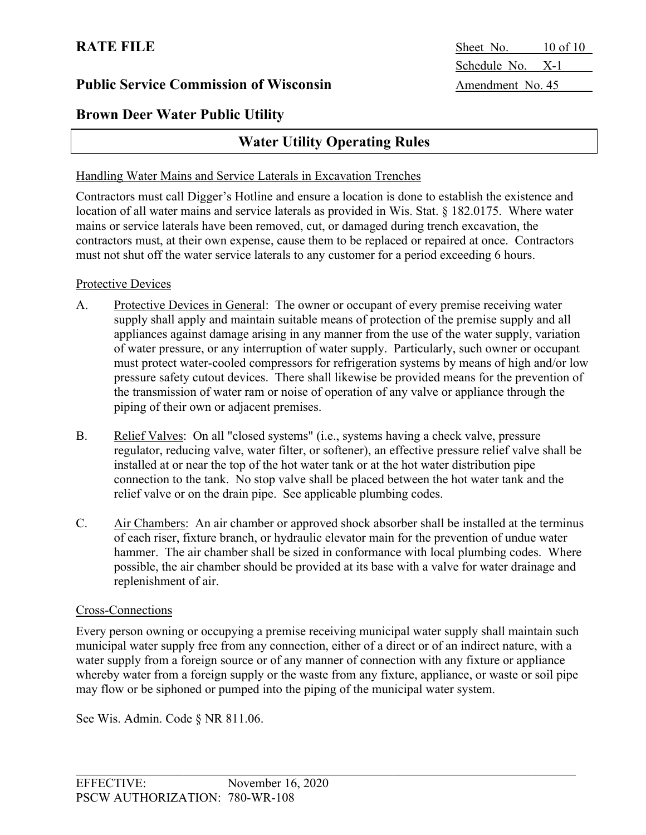**Brown Deer Water Public Utility**

# **Water Utility Operating Rules**

#### Handling Water Mains and Service Laterals in Excavation Trenches

Contractors must call Digger's Hotline and ensure a location is done to establish the existence and location of all water mains and service laterals as provided in Wis. Stat. § 182.0175. Where water mains or service laterals have been removed, cut, or damaged during trench excavation, the contractors must, at their own expense, cause them to be replaced or repaired at once. Contractors must not shut off the water service laterals to any customer for a period exceeding 6 hours.

#### Protective Devices

- A. Protective Devices in General: The owner or occupant of every premise receiving water supply shall apply and maintain suitable means of protection of the premise supply and all appliances against damage arising in any manner from the use of the water supply, variation of water pressure, or any interruption of water supply. Particularly, such owner or occupant must protect water-cooled compressors for refrigeration systems by means of high and/or low pressure safety cutout devices. There shall likewise be provided means for the prevention of the transmission of water ram or noise of operation of any valve or appliance through the piping of their own or adjacent premises.
- B. Relief Valves: On all "closed systems" (i.e., systems having a check valve, pressure regulator, reducing valve, water filter, or softener), an effective pressure relief valve shall be installed at or near the top of the hot water tank or at the hot water distribution pipe connection to the tank. No stop valve shall be placed between the hot water tank and the relief valve or on the drain pipe. See applicable plumbing codes.
- C. Air Chambers: An air chamber or approved shock absorber shall be installed at the terminus of each riser, fixture branch, or hydraulic elevator main for the prevention of undue water hammer. The air chamber shall be sized in conformance with local plumbing codes. Where possible, the air chamber should be provided at its base with a valve for water drainage and replenishment of air.

#### Cross-Connections

Every person owning or occupying a premise receiving municipal water supply shall maintain such municipal water supply free from any connection, either of a direct or of an indirect nature, with a water supply from a foreign source or of any manner of connection with any fixture or appliance whereby water from a foreign supply or the waste from any fixture, appliance, or waste or soil pipe may flow or be siphoned or pumped into the piping of the municipal water system.

See Wis. Admin. Code § NR 811.06.

**RATE FILE** Sheet No. 10 of 10 Schedule No. X-1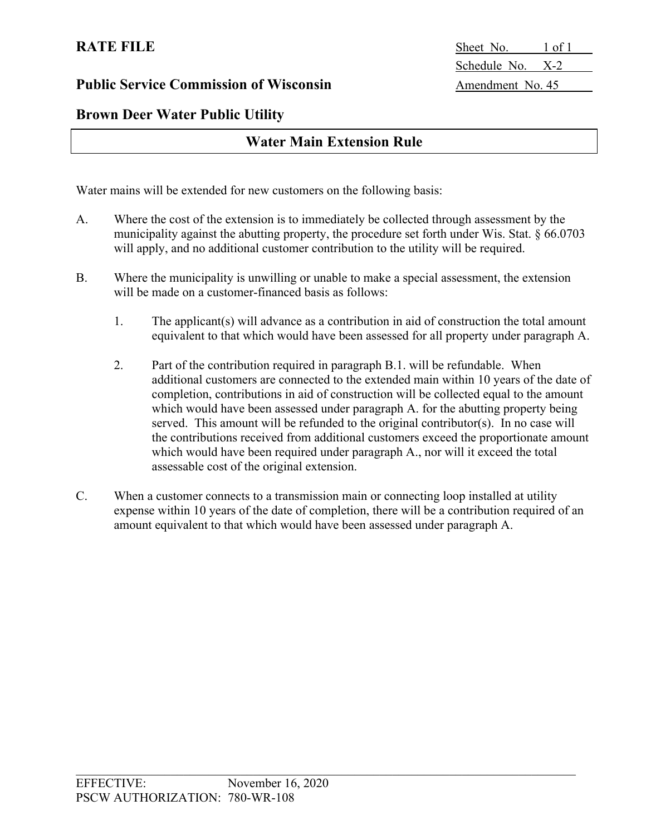**RATE FILE** Sheet No. 1 of 1 Schedule No. X-2

# **Brown Deer Water Public Utility**

# **Water Main Extension Rule**

Water mains will be extended for new customers on the following basis:

- A. Where the cost of the extension is to immediately be collected through assessment by the municipality against the abutting property, the procedure set forth under Wis. Stat. § 66.0703 will apply, and no additional customer contribution to the utility will be required.
- B. Where the municipality is unwilling or unable to make a special assessment, the extension will be made on a customer-financed basis as follows:
	- 1. The applicant(s) will advance as a contribution in aid of construction the total amount equivalent to that which would have been assessed for all property under paragraph A.
	- 2. Part of the contribution required in paragraph B.1. will be refundable. When additional customers are connected to the extended main within 10 years of the date of completion, contributions in aid of construction will be collected equal to the amount which would have been assessed under paragraph A. for the abutting property being served. This amount will be refunded to the original contributor(s). In no case will the contributions received from additional customers exceed the proportionate amount which would have been required under paragraph A., nor will it exceed the total assessable cost of the original extension.
- C. When a customer connects to a transmission main or connecting loop installed at utility expense within 10 years of the date of completion, there will be a contribution required of an amount equivalent to that which would have been assessed under paragraph A.